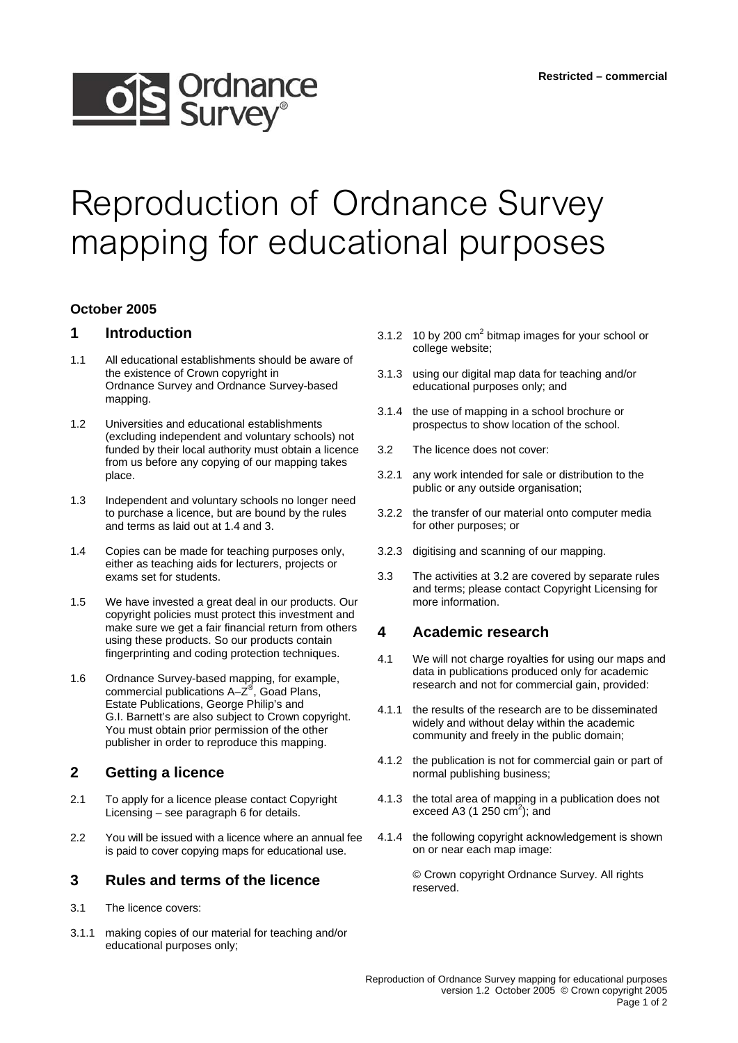# **OS** Ordnance

# Reproduction of Ordnance Survey mapping for educational purposes

#### **October 2005**

## **1 Introduction**

- 1.1 All educational establishments should be aware of the existence of Crown copyright in Ordnance Survey and Ordnance Survey-based mapping.
- 1.2 Universities and educational establishments (excluding independent and voluntary schools) not funded by their local authority must obtain a licence from us before any copying of our mapping takes place.
- 1.3 Independent and voluntary schools no longer need to purchase a licence, but are bound by the rules and terms as laid out at 1.4 and 3.
- 1.4 Copies can be made for teaching purposes only, either as teaching aids for lecturers, projects or exams set for students.
- 1.5 We have invested a great deal in our products. Our copyright policies must protect this investment and make sure we get a fair financial return from others using these products. So our products contain fingerprinting and coding protection techniques.
- 1.6 Ordnance Survey-based mapping, for example, commercial publications A–Z®, Goad Plans, Estate Publications, George Philip's and G.I. Barnett's are also subject to Crown copyright. You must obtain prior permission of the other publisher in order to reproduce this mapping.

# **2 Getting a licence**

- 2.1 To apply for a licence please contact Copyright Licensing – see paragraph 6 for details.
- 2.2 You will be issued with a licence where an annual fee is paid to cover copying maps for educational use.

#### **3 Rules and terms of the licence**

- 3.1 The licence covers:
- 3.1.1 making copies of our material for teaching and/or educational purposes only;
- 3.1.2 10 by 200  $\text{cm}^2$  bitmap images for your school or college website;
- 3.1.3 using our digital map data for teaching and/or educational purposes only; and
- 3.1.4 the use of mapping in a school brochure or prospectus to show location of the school.
- 3.2 The licence does not cover:
- 3.2.1 any work intended for sale or distribution to the public or any outside organisation;
- 3.2.2 the transfer of our material onto computer media for other purposes; or
- 3.2.3 digitising and scanning of our mapping.
- 3.3 The activities at 3.2 are covered by separate rules and terms; please contact Copyright Licensing for more information.

#### **4 Academic research**

- 4.1 We will not charge royalties for using our maps and data in publications produced only for academic research and not for commercial gain, provided:
- 4.1.1 the results of the research are to be disseminated widely and without delay within the academic community and freely in the public domain;
- 4.1.2 the publication is not for commercial gain or part of normal publishing business;
- 4.1.3 the total area of mapping in a publication does not exceed A3 (1 250  $\text{cm}^2$ ); and
- 4.1.4 the following copyright acknowledgement is shown on or near each map image:

© Crown copyright Ordnance Survey. All rights reserved.